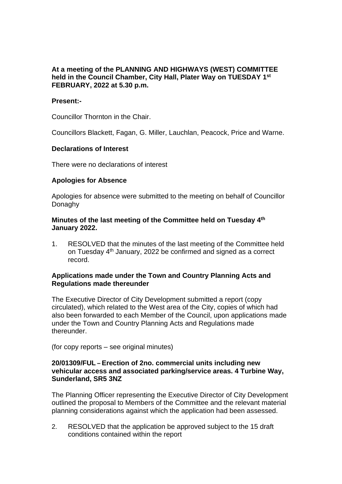# **At a meeting of the PLANNING AND HIGHWAYS (WEST) COMMITTEE held in the Council Chamber, City Hall, Plater Way on TUESDAY 1 st FEBRUARY, 2022 at 5.30 p.m.**

## **Present:-**

Councillor Thornton in the Chair.

Councillors Blackett, Fagan, G. Miller, Lauchlan, Peacock, Price and Warne.

## **Declarations of Interest**

There were no declarations of interest

# **Apologies for Absence**

Apologies for absence were submitted to the meeting on behalf of Councillor Donaghy

## **Minutes of the last meeting of the Committee held on Tuesday 4 th January 2022.**

1. RESOLVED that the minutes of the last meeting of the Committee held on Tuesday 4<sup>th</sup> January, 2022 be confirmed and signed as a correct record.

## **Applications made under the Town and Country Planning Acts and Regulations made thereunder**

The Executive Director of City Development submitted a report (copy circulated), which related to the West area of the City, copies of which had also been forwarded to each Member of the Council, upon applications made under the Town and Country Planning Acts and Regulations made thereunder.

(for copy reports – see original minutes)

## **20/01309/FUL – Erection of 2no. commercial units including new vehicular access and associated parking/service areas. 4 Turbine Way, Sunderland, SR5 3NZ**

The Planning Officer representing the Executive Director of City Development outlined the proposal to Members of the Committee and the relevant material planning considerations against which the application had been assessed.

2. RESOLVED that the application be approved subject to the 15 draft conditions contained within the report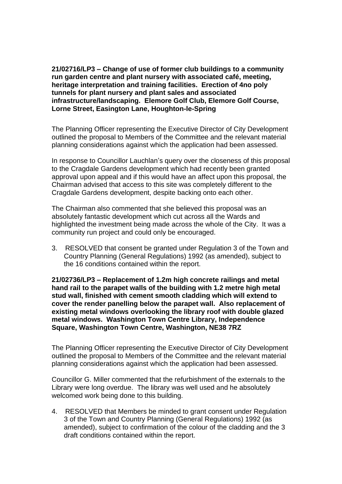**21/02716/LP3 – Change of use of former club buildings to a community run garden centre and plant nursery with associated café, meeting, heritage interpretation and training facilities. Erection of 4no poly tunnels for plant nursery and plant sales and associated infrastructure/landscaping. Elemore Golf Club, Elemore Golf Course, Lorne Street, Easington Lane, Houghton-le-Spring**

The Planning Officer representing the Executive Director of City Development outlined the proposal to Members of the Committee and the relevant material planning considerations against which the application had been assessed.

In response to Councillor Lauchlan's query over the closeness of this proposal to the Cragdale Gardens development which had recently been granted approval upon appeal and if this would have an affect upon this proposal, the Chairman advised that access to this site was completely different to the Cragdale Gardens development, despite backing onto each other.

The Chairman also commented that she believed this proposal was an absolutely fantastic development which cut across all the Wards and highlighted the investment being made across the whole of the City. It was a community run project and could only be encouraged.

3. RESOLVED that consent be granted under Regulation 3 of the Town and Country Planning (General Regulations) 1992 (as amended), subject to the 16 conditions contained within the report.

**21/02736/LP3 – Replacement of 1.2m high concrete railings and metal hand rail to the parapet walls of the building with 1.2 metre high metal stud wall, finished with cement smooth cladding which will extend to cover the render panelling below the parapet wall. Also replacement of existing metal windows overlooking the library roof with double glazed metal windows. Washington Town Centre Library, Independence Square, Washington Town Centre, Washington, NE38 7RZ**

The Planning Officer representing the Executive Director of City Development outlined the proposal to Members of the Committee and the relevant material planning considerations against which the application had been assessed.

Councillor G. Miller commented that the refurbishment of the externals to the Library were long overdue. The library was well used and he absolutely welcomed work being done to this building.

4. RESOLVED that Members be minded to grant consent under Regulation 3 of the Town and Country Planning (General Regulations) 1992 (as amended), subject to confirmation of the colour of the cladding and the 3 draft conditions contained within the report.